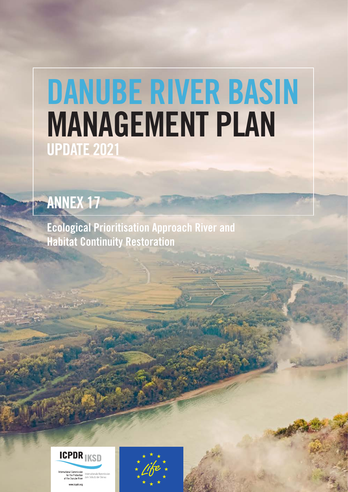# DANUBE RIVER BASIN MANAGEMENT PLAN UPDATE 2021

## ANNEX 17

Ecological Prioritisation Approach River and Habitat Continuity Restoration



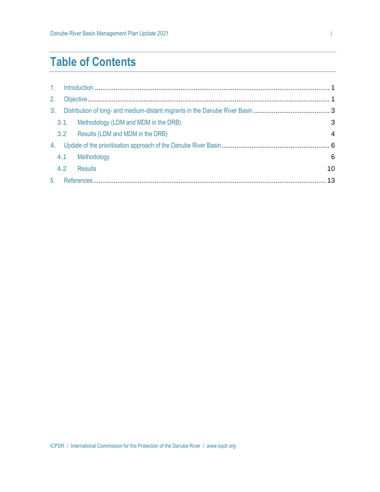## **Table of Contents**

| 1 <sub>1</sub> |     |                                      |    |
|----------------|-----|--------------------------------------|----|
| 2.             |     |                                      |    |
| 3 <sub>1</sub> |     |                                      |    |
|                | 3.1 | Methodology (LDM and MDM in the DRB) | 3  |
|                |     | 3.2 Results (LDM and MDM in the DRB) | 4  |
| 4.             |     |                                      |    |
|                | 4.1 | Methodology                          | 6  |
|                | 4.2 | <b>Results</b>                       | 10 |
| 5.             |     |                                      |    |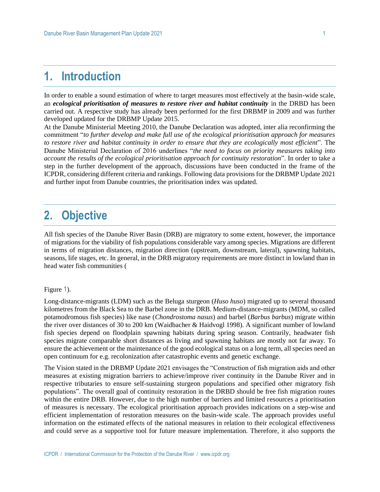## **1. Introduction**

In order to enable a sound estimation of where to target measures most effectively at the basin-wide scale, an *ecological prioritisation of measures to restore river and habitat continuity* in the DRBD has been carried out. A respective study has already been performed for the first DRBMP in 2009 and was further developed updated for the DRBMP Update 2015.

At the Danube Ministerial Meeting 2010, the Danube Declaration was adopted, inter alia reconfirming the commitment "*to further develop and make full use of the ecological prioritisation approach for measures to restore river and habitat continuity in order to ensure that they are ecologically most efficient*". The Danube Ministerial Declaration of 2016 underlines "*the need to focus on priority measures taking into account the results of the ecological prioritisation approach for continuity restoration*". In order to take a step in the further development of the approach, discussions have been conducted in the frame of the ICPDR, considering different criteria and rankings. Following data provisions for the DRBMP Update 2021 and further input from Danube countries, the prioritisation index was updated.

## **2. Objective**

All fish species of the Danube River Basin (DRB) are migratory to some extent, however, the importance of migrations for the viability of fish populations considerable vary among species. Migrations are different in terms of migration distances, migration direction (upstream, downstream, lateral), spawning habitats, seasons, life stages, etc. In ge[neral, in the DRB migratory requirements are more distinct in lowland than in](#page-3-0)  head water fish communities (

#### [Figure](#page-3-0) 1).

Long-distance-migrants (LDM) such as the Beluga sturgeon (*Huso huso*) migrated up to several thousand kilometres from the Black Sea to the Barbel zone in the DRB. Medium-distance-migrants (MDM, so called potamodromous fish species) like nase (*Chondrostoma nasus*) and barbel (*Barbus barbus*) migrate within the river over distances of 30 to 200 km (Waidbacher & Haidvogl 1998). A significant number of lowland fish species depend on floodplain spawning habitats during spring season. Contrarily, headwater fish species migrate comparable short distances as living and spawning habitats are mostly not far away. To ensure the achievement or the maintenance of the good ecological status on a long term, all species need an open continuum for e.g. recolonization after catastrophic events and genetic exchange.

The Vision stated in the DRBMP Update 2021 envisages the "Construction of fish migration aids and other measures at existing migration barriers to achieve/improve river continuity in the Danube River and in respective tributaries to ensure self-sustaining sturgeon populations and specified other migratory fish populations". The overall goal of continuity restoration in the DRBD should be free fish migration routes within the entire DRB. However, due to the high number of barriers and limited resources a prioritisation of measures is necessary. The ecological prioritisation approach provides indications on a step-wise and efficient implementation of restoration measures on the basin-wide scale. The approach provides useful information on the estimated effects of the national measures in relation to their ecological effectiveness and could serve as a supportive tool for future measure implementation. Therefore, it also supports the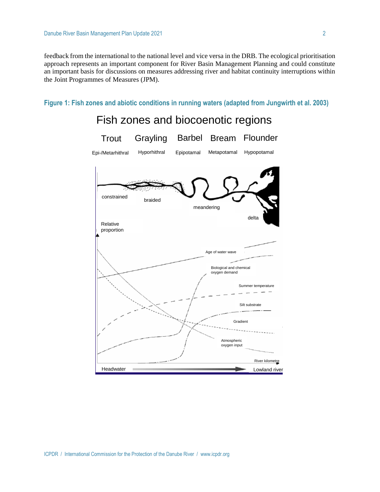feedback from the international to the national level and vice versa in the DRB. The ecological prioritisation approach represents an important component for River Basin Management Planning and could constitute an important basis for discussions on measures addressing river and habitat continuity interruptions within the Joint Programmes of Measures (JPM).

**Figure 1: Fish zones and abiotic conditions in running waters (adapted from Jungwirth et al. 2003)**

## <span id="page-3-1"></span><span id="page-3-0"></span>constrained braided meandering delta Relative proportion Age of water wave Biological and chemical oxygen demand Summer temperature Gradient Silt substrate Atmospheric oxygen input River kilometre Headwater Lowland river Fish zones and biocoenotic regions Trout Grayling Barbel Bream Flounder Epi-/Metarhithral Hyporhithral Epipotamal Metapotamal Hypopotamal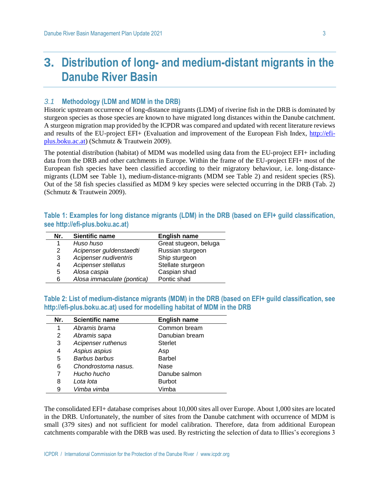## **3. Distribution of long- and medium-distant migrants in the Danube River Basin**

#### *3.1* **Methodology (LDM and MDM in the DRB)**

Historic upstream occurrence of long-distance migrants (LDM) of riverine fish in the DRB is dominated by sturgeon species as those species are known to have migrated long distances within the Danube catchment. A sturgeon migration map provided by the ICPDR was compared and updated with recent literature reviews and results of the EU-project EFI+ (Evaluation and improvement of the European Fish Index, [http://efi](http://efi-plus.boku.ac.at/)[plus.boku.ac.at\)](http://efi-plus.boku.ac.at/) (Schmutz & Trautwein 2009).

The potential distribution (habitat) of MDM was modelled using data from the EU-project EFI+ including data from the DRB and other catchments in Europe. Within the frame of the EU-project EFI+ most of the European fish species have been classified according to their migratory behaviour, i.e. long-distancemigrants (LDM see Table 1), medium-distance-migrants (MDM see Table 2) and resident species (RS). Out of the 58 fish species classified as MDM 9 key species were selected occurring in the DRB (Tab. 2) (Schmutz & Trautwein 2009).

| Table 1: Examples for long distance migrants (LDM) in the DRB (based on EFI+ guild classification, |  |  |  |  |
|----------------------------------------------------------------------------------------------------|--|--|--|--|
| see http://efi-plus.boku.ac.at)                                                                    |  |  |  |  |

| Nr. | Sientific name             | <b>English name</b>   |
|-----|----------------------------|-----------------------|
|     | Huso huso                  | Great stugeon, beluga |
| 2   | Acipenser guldenstaedti    | Russian sturgeon      |
| 3   | Acipenser nudiventris      | Ship sturgeon         |
| 4   | Acipenser stellatus        | Stellate sturgeon     |
| 5   | Alosa caspia               | Caspian shad          |
| 6   | Alosa immaculate (pontica) | Pontic shad           |

**Table 2: List of medium-distance migrants (MDM) in the DRB (based on EFI+ guild classification, see [http://efi-plus.boku.ac.at\)](http://efi-plus.boku.ac.at/) used for modelling habitat of MDM in the DRB**

| Nr. | <b>Scientific name</b> | <b>English name</b> |
|-----|------------------------|---------------------|
| 1   | Abramis brama          | Common bream        |
| 2   | Abramis sapa           | Danubian bream      |
| 3   | Acipenser ruthenus     | <b>Sterlet</b>      |
| 4   | Aspius aspius          | Asp                 |
| 5   | Barbus barbus          | <b>Barbel</b>       |
| 6   | Chondrostoma nasus.    | Nase                |
| 7   | Hucho hucho            | Danube salmon       |
| 8   | Lota lota              | <b>Burbot</b>       |
| 9   | Vimba vimba            | Vimba               |

The consolidated EFI+ database comprises about 10,000 sites all over Europe. About 1,000 sites are located in the DRB. Unfortunately, the number of sites from the Danube catchment with occurrence of MDM is small (379 sites) and not sufficient for model calibration. Therefore, data from additional European catchments comparable with the DRB was used. By restricting the selection of data to Illies's ecoregions 3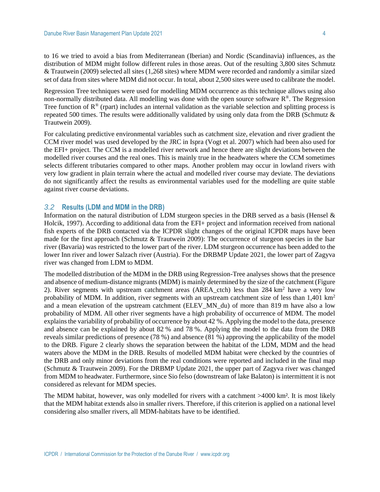to 16 we tried to avoid a bias from Mediterranean (Iberian) and Nordic (Scandinavia) influences, as the distribution of MDM might follow different rules in those areas. Out of the resulting 3,800 sites Schmutz & Trautwein (2009) selected all sites (1,268 sites) where MDM were recorded and randomly a similar sized set of data from sites where MDM did not occur. In total, about 2,500 sites were used to calibrate the model.

Regression Tree techniques were used for modelling MDM occurrence as this technique allows using also non-normally distributed data. All modelling was done with the open source software  $R^{\circ}$ . The Regression Tree function of  $R^{\circledast}$  (rpart) includes an internal validation as the variable selection and splitting process is repeated 500 times. The results were additionally validated by using only data from the DRB (Schmutz & Trautwein 2009).

For calculating predictive environmental variables such as catchment size, elevation and river gradient the CCM river model was used developed by the JRC in Ispra (Vogt et al. 2007) which had been also used for the EFI+ project. The CCM is a modelled river network and hence there are slight deviations between the modelled river courses and the real ones. This is mainly true in the headwaters where the CCM sometimes selects different tributaries compared to other maps. Another problem may occur in lowland rivers with very low gradient in plain terrain where the actual and modelled river course may deviate. The deviations do not significantly affect the results as environmental variables used for the modelling are quite stable against river course deviations.

#### *3.2* **Results (LDM and MDM in the DRB)**

Information on the natural distribution of LDM sturgeon species in the DRB served as a basis (Hensel & Holcik, 1997). According to additional data from the EFI+ project and information received from national fish experts of the DRB contacted via the ICPDR slight changes of the original ICPDR maps have been made for the first approach (Schmutz & Trautwein 2009): The occurrence of sturgeon species in the Isar river (Bavaria) was restricted to the lower part of the river. LDM sturgeon occurrence has been added to the lower Inn river and lower Salzach river (Austria). For the DRBMP Update 2021, the lower part of Zagyva river was changed from LDM to MDM.

The modelled distribution of the MDM in the DRB using Regression-Tree analyses shows that the presence and absence of medium-distance migrants (MDM) is mainly determined by the size of the catchment [\(Figure](#page-6-0)  [2\)](#page-6-0). River segments with upstream catchment areas (AREA ctch) less than 284 km<sup>2</sup> have a very low probability of MDM. In addition, river segments with an upstream catchment size of less than 1,401 km<sup>2</sup> and a mean elevation of the upstream catchment (ELEV MN du) of more than 819 m have also a low probability of MDM. All other river segments have a high probability of occurrence of MDM. The model explains the variability of probability of occurrence by about 42 %. Applying the model to the data, presence and absence can be explained by about 82 % and 78 %. Applying the model to the data from the DRB reveals similar predictions of presence (78 %) and absence (81 %) approving the applicability of the model to the DRB. [Figure 2](#page-6-0) clearly shows the separation between the habitat of the LDM, MDM and the head waters above the MDM in the DRB. Results of modelled MDM habitat were checked by the countries of the DRB and only minor deviations from the real conditions were reported and included in the final map (Schmutz & Trautwein 2009). For the DRBMP Update 2021, the upper part of Zagyva river was changed from MDM to headwater. Furthermore, since Sio felso (downstream of lake Balaton) is intermittent it is not considered as relevant for MDM species.

The MDM habitat, however, was only modelled for rivers with a catchment >4000 km². It is most likely that the MDM habitat extends also in smaller rivers. Therefore, if this criterion is applied on a national level considering also smaller rivers, all MDM-habitats have to be identified.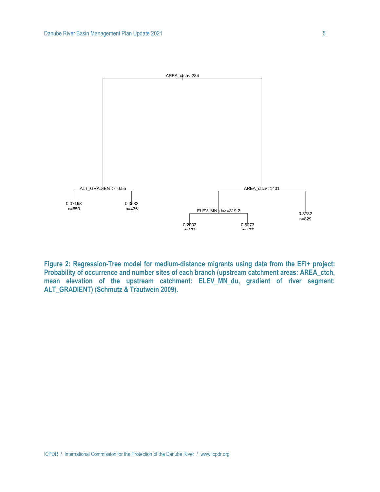

<span id="page-6-0"></span>**Figure 2: Regression-Tree model for medium-distance migrants using data from the EFI+ project: Probability of occurrence and number sites of each branch (upstream catchment areas: AREA\_ctch, mean elevation of the upstream catchment: ELEV\_MN\_du, gradient of river segment: ALT\_GRADIENT) (Schmutz & Trautwein 2009).**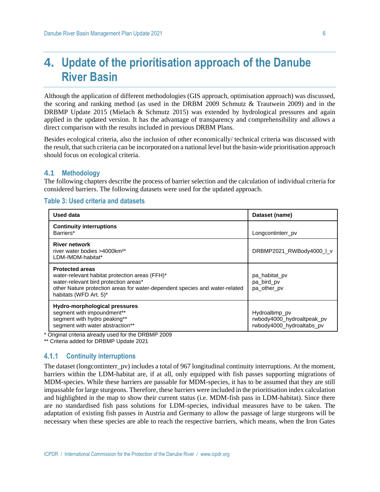## **4. Update of the prioritisation approach of the Danube River Basin**

Although the application of different methodologies (GIS approach, optimisation approach) was discussed, the scoring and ranking method (as used in the DRBM 2009 Schmutz & Trautwein 2009) and in the DRBMP Update 2015 (Mielach & Schmutz 2015) was extended by hydrological pressures and again applied in the updated version. It has the advantage of transparency and comprehensibility and allows a direct comparison with the results included in previous DRBM Plans.

Besides ecological criteria, also the inclusion of other economically/ technical criteria was discussed with the result, that such criteria can be incorporated on a national level but the basin-wide prioritisation approach should focus on ecological criteria.

#### **4.1 Methodology**

The following chapters describe the process of barrier selection and the calculation of individual criteria for considered barriers. The following datasets were used for the updated approach.

#### **Table 3: Used criteria and datasets**

| Used data                                                                                                                                                                                                                  | Dataset (name)                                                            |  |  |
|----------------------------------------------------------------------------------------------------------------------------------------------------------------------------------------------------------------------------|---------------------------------------------------------------------------|--|--|
| <b>Continuity interruptions</b><br>Barriers*                                                                                                                                                                               | Longcontinterr pv                                                         |  |  |
| <b>River network</b><br>river water bodies >4000km <sup>2*</sup><br>LDM-/MDM-habitat*                                                                                                                                      | DRBMP2021_RWBody4000_L_v                                                  |  |  |
| <b>Protected areas</b><br>water-relevant habitat protection areas (FFH)*<br>water-relevant bird protection areas*<br>other Nature protection areas for water-dependent species and water-related<br>habitats (WFD Art. 5)* | pa habitat pv<br>pa_bird_pv<br>pa other pv                                |  |  |
| Hydro-morphological pressures<br>segment with impoundment**<br>segment with hydro peaking**<br>segment with water abstraction**                                                                                            | Hydroaltimp_pv<br>rwbody4000_hydroaltpeak_pv<br>rwbody4000_hydroaltabs_pv |  |  |

\* Original criteria already used for the DRBMP 2009

\*\* Criteria added for DRBMP Update 2021

#### $4.1.1$ **Continuity interruptions**

The dataset (longcontinterr pv) includes a total of 967 longitudinal continuity interruptions. At the moment, barriers within the LDM-habitat are, if at all, only equipped with fish passes supporting migrations of MDM-species. While these barriers are passable for MDM-species, it has to be assumed that they are still impassable for large sturgeons. Therefore, these barriers were included in the prioritisation index calculation and highlighted in the map to show their current status (i.e. MDM-fish pass in LDM-habitat). Since there are no standardised fish pass solutions for LDM-species, individual measures have to be taken. The adaptation of existing fish passes in Austria and Germany to allow the passage of large sturgeons will be necessary when these species are able to reach the respective barriers, which means, when the Iron Gates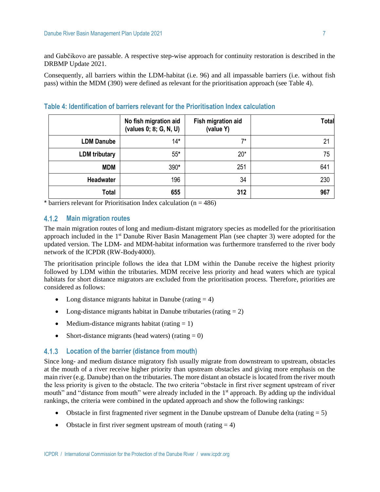and Gabčikovo are passable. A respective step-wise approach for continuity restoration is described in the DRBMP Update 2021.

Consequently, all barriers within the LDM-habitat (i.e. 96) and all impassable barriers (i.e. without fish pass) within the MDM (390) were defined as relevant for the prioritisation approach (see [Table 4\)](#page-8-0).

|                      | No fish migration aid<br>(values 0; 8; G, N, U) | Fish migration aid<br>(value Y) | <b>Total</b> |
|----------------------|-------------------------------------------------|---------------------------------|--------------|
| <b>LDM Danube</b>    | $14*$                                           | $7*$                            | 21           |
| <b>LDM</b> tributary | $55*$                                           | $20*$                           | 75           |
| <b>MDM</b>           | 390*                                            | 251                             | 641          |
| Headwater            | 196                                             | 34                              | 230          |
| <b>Total</b>         | 655                                             | 312                             | 967          |

<span id="page-8-0"></span>**Table 4: Identification of barriers relevant for the Prioritisation Index calculation**

\* barriers relevant for Prioritisation Index calculation ( $n = 486$ )

#### $4.1.2$ **Main migration routes**

The main migration routes of long and medium-distant migratory species as modelled for the prioritisation approach included in the 1<sup>st</sup> Danube River Basin Management Plan (see chapter [3\)](#page-3-1) were adopted for the updated version. The LDM- and MDM-habitat information was furthermore transferred to the river body network of the ICPDR (RW-Body4000).

The prioritisation principle follows the idea that LDM within the Danube receive the highest priority followed by LDM within the tributaries. MDM receive less priority and head waters which are typical habitats for short distance migrators are excluded from the prioritisation process. Therefore, priorities are considered as follows:

- Long distance migrants habitat in Danube (rating  $= 4$ )
- Long-distance migrants habitat in Danube tributaries (rating  $= 2$ )
- Medium-distance migrants habitat (rating  $= 1$ )
- Short-distance migrants (head waters) (rating  $= 0$ )

#### **Location of the barrier (distance from mouth)**

Since long- and medium distance migratory fish usually migrate from downstream to upstream, obstacles at the mouth of a river receive higher priority than upstream obstacles and giving more emphasis on the main river (e.g. Danube) than on the tributaries. The more distant an obstacle is located from the river mouth the less priority is given to the obstacle. The two criteria "obstacle in first river segment upstream of river mouth" and "distance from mouth" were already included in the 1<sup>st</sup> approach. By adding up the individual rankings, the criteria were combined in the updated approach and show the following rankings:

- Obstacle in first fragmented river segment in the Danube upstream of Danube delta (rating  $= 5$ )
- Obstacle in first river segment upstream of mouth (rating  $= 4$ )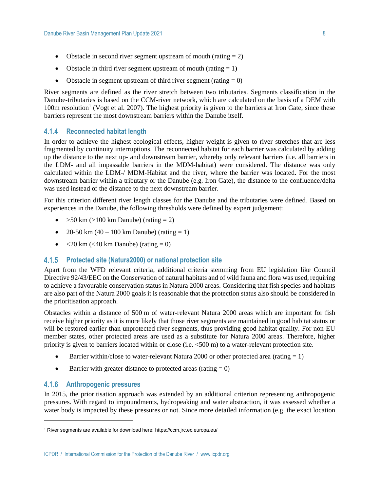- Obstacle in second river segment upstream of mouth (rating  $= 2$ )
- Obstacle in third river segment upstream of mouth (rating  $= 1$ )
- Obstacle in segment upstream of third river segment (rating  $= 0$ )

River segments are defined as the river stretch between two tributaries. Segments classification in the Danube-tributaries is based on the CCM-river network, which are calculated on the basis of a DEM with  $100m$  resolution<sup>1</sup> (Vogt et al. 2007). The highest priority is given to the barriers at Iron Gate, since these barriers represent the most downstream barriers within the Danube itself.

#### **Reconnected habitat length**

In order to achieve the highest ecological effects, higher weight is given to river stretches that are less fragmented by continuity interruptions. The reconnected habitat for each barrier was calculated by adding up the distance to the next up- and downstream barrier, whereby only relevant barriers (i.e. all barriers in the LDM- and all impassable barriers in the MDM-habitat) were considered. The distance was only calculated within the LDM-/ MDM-Habitat and the river, where the barrier was located. For the most downstream barrier within a tributary or the Danube (e.g. Iron Gate), the distance to the confluence/delta was used instead of the distance to the next downstream barrier.

For this criterion different river length classes for the Danube and the tributaries were defined. Based on experiences in the Danube, the following thresholds were defined by expert judgement:

- $>50 \text{ km } (>100 \text{ km }$  Danube) (rating = 2)
- 20-50 km  $(40 100 \text{ km} \text{ Danube})$  (rating = 1)
- $\langle 20 \text{ km } (-40 \text{ km} \text{ Danube}) (\text{rating} = 0) \rangle$

#### **Protected site (Natura2000) or national protection site**

Apart from the WFD relevant criteria, additional criteria stemming from EU legislation like Council Directive 92/43/EEC on the Conservation of natural habitats and of wild fauna and flora was used, requiring to achieve a favourable conservation status in Natura 2000 areas. Considering that fish species and habitats are also part of the Natura 2000 goals it is reasonable that the protection status also should be considered in the prioritisation approach.

Obstacles within a distance of 500 m of water-relevant Natura 2000 areas which are important for fish receive higher priority as it is more likely that those river segments are maintained in good habitat status or will be restored earlier than unprotected river segments, thus providing good habitat quality. For non-EU member states, other protected areas are used as a substitute for Natura 2000 areas. Therefore, higher priority is given to barriers located within or close (i.e. <500 m) to a water-relevant protection site.

- Barrier within/close to water-relevant Natura 2000 or other protected area (rating  $= 1$ )
- Barrier with greater distance to protected areas (rating  $= 0$ )

#### $4.1.6$ **Anthropogenic pressures**

In 2015, the prioritisation approach was extended by an additional criterion representing anthropogenic pressures. With regard to impoundments, hydropeaking and water abstraction, it was assessed whether a water body is impacted by these pressures or not. Since more detailed information (e.g. the exact location

<sup>1</sup> River segments are available for download here: https://ccm.jrc.ec.europa.eu/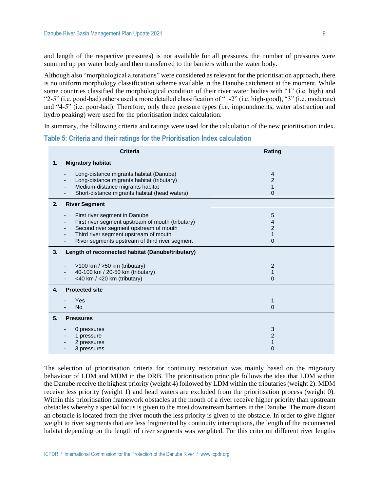and length of the respective pressures) is not available for all pressures, the number of pressures were summed up per water body and then transferred to the barriers within the water body.

Although also "morphological alterations" were considered as relevant for the prioritisation approach, there is no uniform morphology classification scheme available in the Danube catchment at the moment. While some countries classified the morphological condition of their river water bodies with "1" (i.e. high) and "2-5" (i.e. good-bad) others used a more detailed classification of "1-2" (i.e. high-good), "3" (i.e. moderate) and "4-5" (i.e. poor-bad). Therefore, only three pressure types (i.e. impoundments, water abstraction and hydro peaking) were used for the prioritisation index calculation.

In summary, the following criteria and ratings were used for the calculation of the new prioritisation index.

**Table 5: Criteria and their ratings for the Prioritisation Index calculation**

| <b>Criteria</b>                                                                                                                                                                                                                                     | Rating                                                  |  |  |  |  |  |  |
|-----------------------------------------------------------------------------------------------------------------------------------------------------------------------------------------------------------------------------------------------------|---------------------------------------------------------|--|--|--|--|--|--|
| <b>Migratory habitat</b><br>1.                                                                                                                                                                                                                      |                                                         |  |  |  |  |  |  |
| Long-distance migrants habitat (Danube)<br>Long-distance migrants habitat (tributary)<br>Medium-distance migrants habitat<br>Short-distance migrants habitat (head waters)                                                                          | 4<br>$\overline{2}$<br>1<br>0                           |  |  |  |  |  |  |
| 2.<br><b>River Segment</b>                                                                                                                                                                                                                          |                                                         |  |  |  |  |  |  |
| First river segment in Danube<br>$\overline{\phantom{0}}$<br>First river segment upstream of mouth (tributary)<br>Second river segment upstream of mouth<br>Third river segment upstream of mouth<br>River segments upstream of third river segment | 5<br>4<br>$\overline{c}$<br>$\mathbf{1}$<br>$\mathbf 0$ |  |  |  |  |  |  |
| Length of reconnected habitat (Danube/tributary)<br>3.                                                                                                                                                                                              |                                                         |  |  |  |  |  |  |
| >100 km / >50 km (tributary)<br>40-100 km / 20-50 km (tributary)<br><40 km / <20 km (tributary)                                                                                                                                                     | $\overline{c}$<br>$\mathbf{1}$<br>$\overline{0}$        |  |  |  |  |  |  |
| <b>Protected site</b><br>4.                                                                                                                                                                                                                         |                                                         |  |  |  |  |  |  |
| Yes<br><b>No</b>                                                                                                                                                                                                                                    | 1<br>0                                                  |  |  |  |  |  |  |
| 5.<br><b>Pressures</b>                                                                                                                                                                                                                              |                                                         |  |  |  |  |  |  |
| 0 pressures<br>1 pressure<br>2 pressures<br>3 pressures                                                                                                                                                                                             | 3<br>$\overline{c}$<br>$\mathbf{1}$<br>0                |  |  |  |  |  |  |

The selection of prioritisation criteria for continuity restoration was mainly based on the migratory behaviour of LDM and MDM in the DRB. The prioritisation principle follows the idea that LDM within the Danube receive the highest priority (weight 4) followed by LDM within the tributaries (weight 2). MDM receive less priority (weight 1) and head waters are excluded from the prioritisation process (weight 0). Within this prioritisation framework obstacles at the mouth of a river receive higher priority than upstream obstacles whereby a special focus is given to the most downstream barriers in the Danube. The more distant an obstacle is located from the river mouth the less priority is given to the obstacle. In order to give higher weight to river segments that are less fragmented by continuity interruptions, the length of the reconnected habitat depending on the length of river segments was weighted. For this criterion different river lengths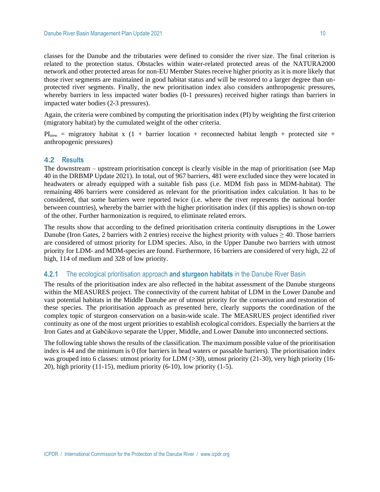classes for the Danube and the tributaries were defined to consider the river size. The final criterion is related to the protection status. Obstacles within water-related protected areas of the NATURA2000 network and other protected areas for non-EU Member States receive higher priority as it is more likely that those river segments are maintained in good habitat status and will be restored to a larger degree than unprotected river segments. Finally, the new prioritisation index also considers anthropogenic pressures, whereby barriers in less impacted water bodies (0-1 pressures) received higher ratings than barriers in impacted water bodies (2-3 pressures).

Again, the criteria were combined by computing the prioritisation index (PI) by weighting the first criterion (migratory habitat) by the cumulated weight of the other criteria.

 $PI<sub>new</sub>$  = migratory habitat x (1 + barrier location + reconnected habitat length + protected site + anthropogenic pressures)

#### **4.2 Results**

The downstream – upstream prioritisation concept is clearly visible in the map of prioritisation (see Map 40 in the DRBMP Update 2021). In total, out of 967 barriers, 481 were excluded since they were located in headwaters or already equipped with a suitable fish pass (i.e. MDM fish pass in MDM-habitat). The remaining 486 barriers were considered as relevant for the prioritisation index calculation. It has to be considered, that some barriers were reported twice (i.e. where the river represents the national border between countries), whereby the barrier with the higher prioritisation index (if this applies) is shown on-top of the other. Further harmonization is required, to eliminate related errors.

The results show that according to the defined prioritisation criteria continuity disruptions in the Lower Danube (Iron Gates, 2 barriers with 2 entries) receive the highest priority with values  $\geq 40$ . Those barriers are considered of utmost priority for LDM species. Also, in the Upper Danube two barriers with utmost priority for LDM- and MDM-species are found. Furthermore, 16 barriers are considered of very high, 22 of high, 114 of medium and 328 of low priority.

#### **4.2.1** The ecological prioritisation approach **and sturgeon habitats** in the Danube River Basin

The results of the prioritisation index are also reflected in the habitat assessment of the Danube sturgeons within the MEASURES project. The connectivity of the current habitat of LDM in the Lower Danube and vast potential habitats in the Middle Danube are of utmost priority for the conservation and restoration of these species. The prioritisation approach as presented here, clearly supports the coordination of the complex topic of sturgeon conservation on a basin-wide scale. The MEASRUES project identified river continuity as one of the most urgent priorities to establish ecological corridors. Especially the barriers at the Iron Gates and at Gabčikovo separate the Upper, Middle, and Lower Danube into unconnected sections.

The following table shows the results of the classification. The maximum possible value of the prioritisation index is 44 and the minimum is 0 (for barriers in head waters or passable barriers). The prioritisation index was grouped into 6 classes: utmost priority for LDM (>30), utmost priority (21-30), very high priority (16- 20), high priority  $(11-15)$ , medium priority  $(6-10)$ , low priority  $(1-5)$ .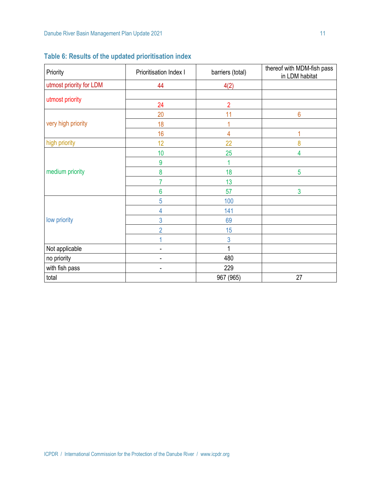| Priority                | Prioritisation Index I | barriers (total) | thereof with MDM-fish pass<br>in LDM habitat |  |
|-------------------------|------------------------|------------------|----------------------------------------------|--|
| utmost priority for LDM | 44                     | 4(2)             |                                              |  |
| utmost priority         |                        |                  |                                              |  |
|                         | 24                     | $\overline{2}$   |                                              |  |
|                         | 20                     | 11               | $6\phantom{a}$                               |  |
| very high priority      | 18                     |                  |                                              |  |
|                         | 16                     | 4                |                                              |  |
| high priority           | 12                     | 22               | 8                                            |  |
|                         | 10                     | 25               | $\overline{4}$                               |  |
|                         | 9                      |                  |                                              |  |
| medium priority         | 8                      | 18               | 5                                            |  |
|                         | 7                      | 13               |                                              |  |
|                         | 6                      | 57               | $\overline{3}$                               |  |
|                         | 5                      | 100              |                                              |  |
|                         | 4                      | 141              |                                              |  |
| low priority            | 3                      | 69               |                                              |  |
|                         | $\overline{2}$         | 15               |                                              |  |
|                         |                        | $\mathbf{3}$     |                                              |  |
| Not applicable          |                        | 1                |                                              |  |
| no priority             | ٠                      | 480              |                                              |  |
| with fish pass          |                        | 229              |                                              |  |
| total                   |                        | 967 (965)        | 27                                           |  |

**Table 6: Results of the updated prioritisation index**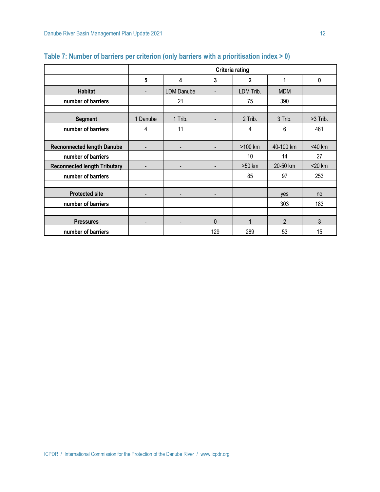|                                     | <b>Criteria rating</b> |                          |                          |                |                |             |
|-------------------------------------|------------------------|--------------------------|--------------------------|----------------|----------------|-------------|
|                                     | 5                      | 4                        | 3                        | $\overline{2}$ | 1              | $\mathbf 0$ |
| <b>Habitat</b>                      |                        | <b>LDM Danube</b>        |                          | LDM Trib.      | <b>MDM</b>     |             |
| number of barriers                  |                        | 21                       |                          | 75             | 390            |             |
|                                     |                        |                          |                          |                |                |             |
| <b>Segment</b>                      | 1 Danube               | 1 Trib.                  |                          | 2 Trib.        | 3 Trib.        | >3 Trib.    |
| number of barriers                  | 4                      | 11                       |                          | 4              | 6              | 461         |
|                                     |                        |                          |                          |                |                |             |
| <b>Recnonnected length Danube</b>   | $\overline{a}$         |                          |                          | >100 km        | 40-100 km      | <40 km      |
| number of barriers                  |                        |                          |                          | 10             | 14             | 27          |
| <b>Reconnected length Tributary</b> | $\overline{a}$         | $\overline{\phantom{a}}$ | $\overline{\phantom{0}}$ | >50 km         | 20-50 km       | $<$ 20 km   |
| number of barriers                  |                        |                          |                          | 85             | 97             | 253         |
|                                     |                        |                          |                          |                |                |             |
| <b>Protected site</b>               |                        |                          |                          |                | ves            | no          |
| number of barriers                  |                        |                          |                          |                | 303            | 183         |
|                                     |                        |                          |                          |                |                |             |
| <b>Pressures</b>                    |                        |                          | $\mathbf{0}$             | 1              | $\overline{2}$ | 3           |
| number of barriers                  |                        |                          | 129                      | 289            | 53             | 15          |

### **Table 7: Number of barriers per criterion (only barriers with a prioritisation index > 0)**